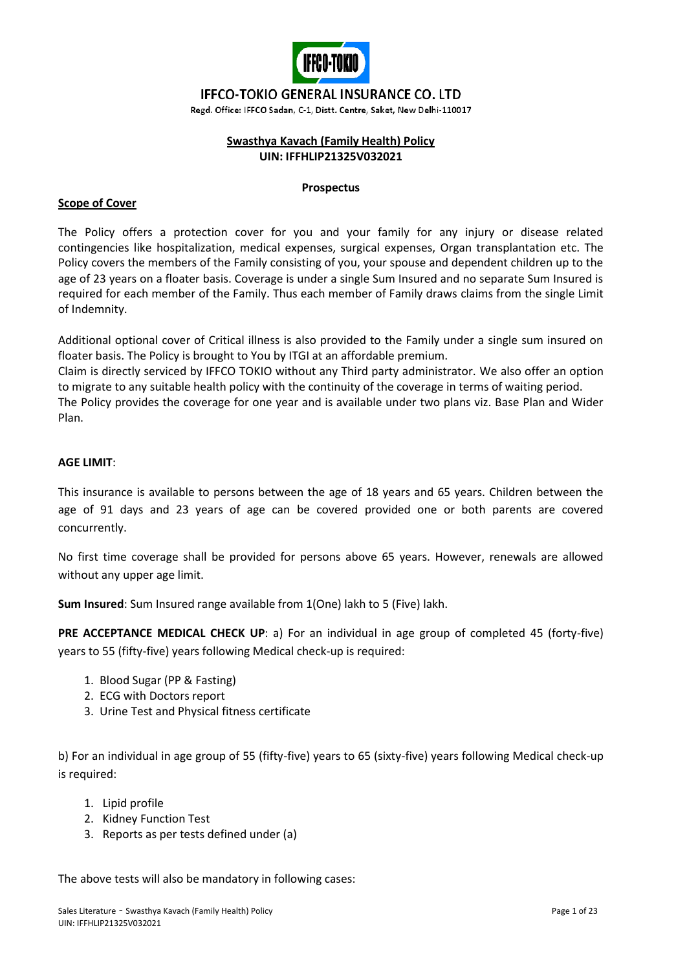

## **IFFCO-TOKIO GENERAL INSURANCE CO. LTD**

Regd. Office: IFFCO Sadan, C-1, Distt. Centre, Saket, New Delhi-110017

#### **Swasthya Kavach (Family Health) Policy UIN: IFFHLIP21325V032021**

#### **Prospectus**

#### **Scope of Cover**

The Policy offers a protection cover for you and your family for any injury or disease related contingencies like hospitalization, medical expenses, surgical expenses, Organ transplantation etc. The Policy covers the members of the Family consisting of you, your spouse and dependent children up to the age of 23 years on a floater basis. Coverage is under a single Sum Insured and no separate Sum Insured is required for each member of the Family. Thus each member of Family draws claims from the single Limit of Indemnity.

Additional optional cover of Critical illness is also provided to the Family under a single sum insured on floater basis. The Policy is brought to You by ITGI at an affordable premium.

Claim is directly serviced by IFFCO TOKIO without any Third party administrator. We also offer an option to migrate to any suitable health policy with the continuity of the coverage in terms of waiting period. The Policy provides the coverage for one year and is available under two plans viz. Base Plan and Wider Plan.

#### **AGE LIMIT**:

This insurance is available to persons between the age of 18 years and 65 years. Children between the age of 91 days and 23 years of age can be covered provided one or both parents are covered concurrently.

No first time coverage shall be provided for persons above 65 years. However, renewals are allowed without any upper age limit.

**Sum Insured**: Sum Insured range available from 1(One) lakh to 5 (Five) lakh.

**PRE ACCEPTANCE MEDICAL CHECK UP**: a) For an individual in age group of completed 45 (forty-five) years to 55 (fifty-five) years following Medical check-up is required:

- 1. Blood Sugar (PP & Fasting)
- 2. ECG with Doctors report
- 3. Urine Test and Physical fitness certificate

b) For an individual in age group of 55 (fifty-five) years to 65 (sixty-five) years following Medical check-up is required:

- 1. Lipid profile
- 2. Kidney Function Test
- 3. Reports as per tests defined under (a)

The above tests will also be mandatory in following cases: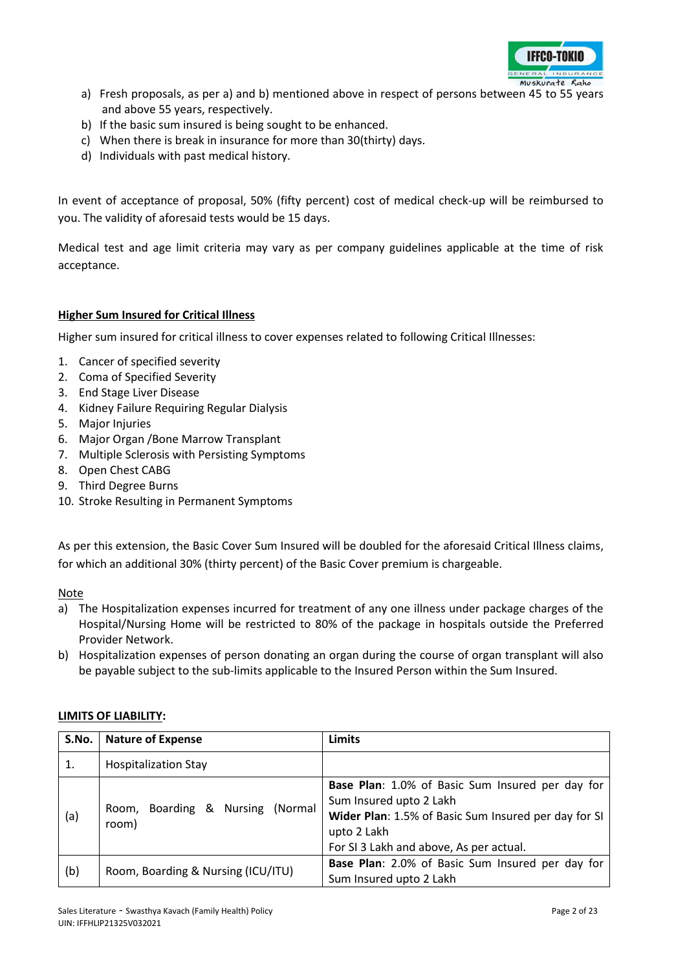

- a) Fresh proposals, as per a) and b) mentioned above in respect of persons between 45 to 55 years and above 55 years, respectively.
- b) If the basic sum insured is being sought to be enhanced.
- c) When there is break in insurance for more than 30(thirty) days.
- d) Individuals with past medical history.

In event of acceptance of proposal, 50% (fifty percent) cost of medical check-up will be reimbursed to you. The validity of aforesaid tests would be 15 days.

Medical test and age limit criteria may vary as per company guidelines applicable at the time of risk acceptance.

#### **Higher Sum Insured for Critical Illness**

Higher sum insured for critical illness to cover expenses related to following Critical Illnesses:

- 1. Cancer of specified severity
- 2. Coma of Specified Severity
- 3. End Stage Liver Disease
- 4. Kidney Failure Requiring Regular Dialysis
- 5. Major Injuries
- 6. Major Organ /Bone Marrow Transplant
- 7. Multiple Sclerosis with Persisting Symptoms
- 8. Open Chest CABG
- 9. Third Degree Burns
- 10. Stroke Resulting in Permanent Symptoms

As per this extension, the Basic Cover Sum Insured will be doubled for the aforesaid Critical Illness claims, for which an additional 30% (thirty percent) of the Basic Cover premium is chargeable.

Note

- a) The Hospitalization expenses incurred for treatment of any one illness under package charges of the Hospital/Nursing Home will be restricted to 80% of the package in hospitals outside the Preferred Provider Network.
- b) Hospitalization expenses of person donating an organ during the course of organ transplant will also be payable subject to the sub-limits applicable to the Insured Person within the Sum Insured.

| S.No. | <b>Nature of Expense</b>                     | <b>Limits</b>                                                                                                                                                                                 |
|-------|----------------------------------------------|-----------------------------------------------------------------------------------------------------------------------------------------------------------------------------------------------|
|       | <b>Hospitalization Stay</b>                  |                                                                                                                                                                                               |
| (a)   | Boarding & Nursing (Normal<br>Room,<br>room) | Base Plan: 1.0% of Basic Sum Insured per day for<br>Sum Insured upto 2 Lakh<br>Wider Plan: 1.5% of Basic Sum Insured per day for SI<br>upto 2 Lakh<br>For SI 3 Lakh and above, As per actual. |
| (b)   | Room, Boarding & Nursing (ICU/ITU)           | Base Plan: 2.0% of Basic Sum Insured per day for<br>Sum Insured upto 2 Lakh                                                                                                                   |

#### **LIMITS OF LIABILITY:**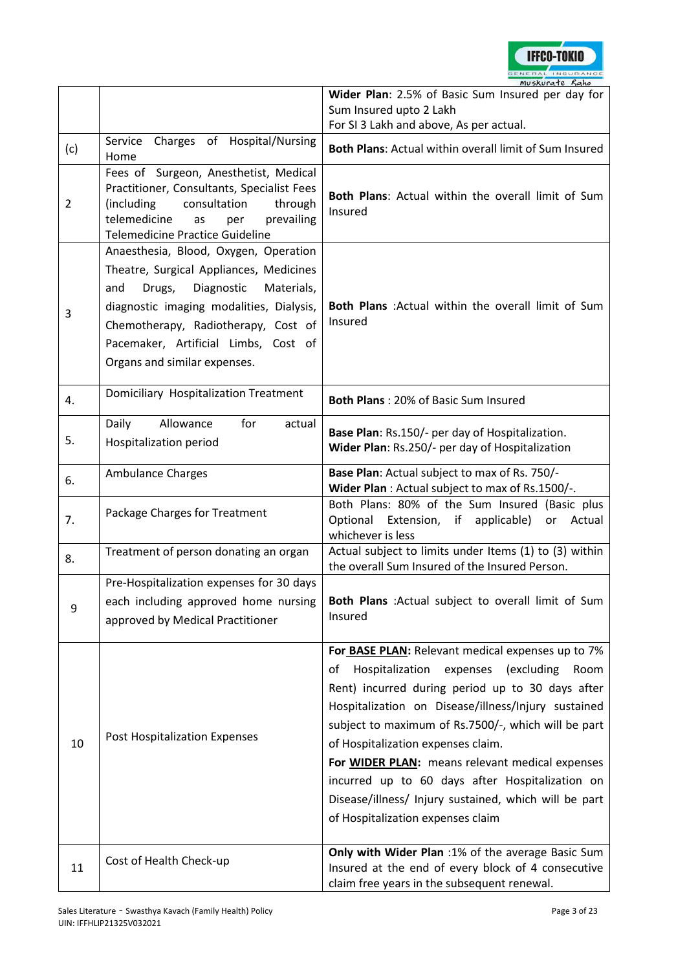

|                |                                                                                                                                                                                                                                                                                          | muskurate Kaho<br>Wider Plan: 2.5% of Basic Sum Insured per day for<br>Sum Insured upto 2 Lakh                                                                                                                                                                                                                                                                                                                                                                                                                     |  |  |  |  |
|----------------|------------------------------------------------------------------------------------------------------------------------------------------------------------------------------------------------------------------------------------------------------------------------------------------|--------------------------------------------------------------------------------------------------------------------------------------------------------------------------------------------------------------------------------------------------------------------------------------------------------------------------------------------------------------------------------------------------------------------------------------------------------------------------------------------------------------------|--|--|--|--|
|                | Service Charges of Hospital/Nursing                                                                                                                                                                                                                                                      | For SI 3 Lakh and above, As per actual.                                                                                                                                                                                                                                                                                                                                                                                                                                                                            |  |  |  |  |
| (c)            | Home                                                                                                                                                                                                                                                                                     | Both Plans: Actual within overall limit of Sum Insured                                                                                                                                                                                                                                                                                                                                                                                                                                                             |  |  |  |  |
| $\overline{2}$ | Fees of Surgeon, Anesthetist, Medical<br>Practitioner, Consultants, Specialist Fees<br>consultation<br>through<br>(including<br>telemedicine<br>prevailing<br>as<br>per<br><b>Telemedicine Practice Guideline</b>                                                                        | Both Plans: Actual within the overall limit of Sum<br>Insured                                                                                                                                                                                                                                                                                                                                                                                                                                                      |  |  |  |  |
| 3              | Anaesthesia, Blood, Oxygen, Operation<br>Theatre, Surgical Appliances, Medicines<br>Diagnostic<br>Materials,<br>and<br>Drugs,<br>diagnostic imaging modalities, Dialysis,<br>Chemotherapy, Radiotherapy, Cost of<br>Pacemaker, Artificial Limbs, Cost of<br>Organs and similar expenses. | Both Plans : Actual within the overall limit of Sum<br>Insured                                                                                                                                                                                                                                                                                                                                                                                                                                                     |  |  |  |  |
| 4.             | Domiciliary Hospitalization Treatment                                                                                                                                                                                                                                                    | <b>Both Plans: 20% of Basic Sum Insured</b>                                                                                                                                                                                                                                                                                                                                                                                                                                                                        |  |  |  |  |
| 5.             | Daily<br>Allowance<br>for<br>actual<br>Hospitalization period                                                                                                                                                                                                                            | Base Plan: Rs.150/- per day of Hospitalization.<br>Wider Plan: Rs.250/- per day of Hospitalization                                                                                                                                                                                                                                                                                                                                                                                                                 |  |  |  |  |
| 6.             | <b>Ambulance Charges</b>                                                                                                                                                                                                                                                                 | Base Plan: Actual subject to max of Rs. 750/-<br>Wider Plan : Actual subject to max of Rs.1500/-.                                                                                                                                                                                                                                                                                                                                                                                                                  |  |  |  |  |
| 7.             | Package Charges for Treatment                                                                                                                                                                                                                                                            | Both Plans: 80% of the Sum Insured (Basic plus<br>Optional<br>Extension, if applicable)<br>or Actual<br>whichever is less                                                                                                                                                                                                                                                                                                                                                                                          |  |  |  |  |
| 8.             | Treatment of person donating an organ                                                                                                                                                                                                                                                    | Actual subject to limits under Items (1) to (3) within<br>the overall Sum Insured of the Insured Person.                                                                                                                                                                                                                                                                                                                                                                                                           |  |  |  |  |
| 9              | Pre-Hospitalization expenses for 30 days<br>each including approved home nursing<br>approved by Medical Practitioner                                                                                                                                                                     | Both Plans : Actual subject to overall limit of Sum<br>Insured                                                                                                                                                                                                                                                                                                                                                                                                                                                     |  |  |  |  |
| 10             | <b>Post Hospitalization Expenses</b>                                                                                                                                                                                                                                                     | For BASE PLAN: Relevant medical expenses up to 7%<br>Hospitalization expenses (excluding<br>Room<br>οf<br>Rent) incurred during period up to 30 days after<br>Hospitalization on Disease/illness/Injury sustained<br>subject to maximum of Rs.7500/-, which will be part<br>of Hospitalization expenses claim.<br>For WIDER PLAN: means relevant medical expenses<br>incurred up to 60 days after Hospitalization on<br>Disease/illness/ Injury sustained, which will be part<br>of Hospitalization expenses claim |  |  |  |  |
| 11             | Cost of Health Check-up                                                                                                                                                                                                                                                                  | Only with Wider Plan :1% of the average Basic Sum<br>Insured at the end of every block of 4 consecutive<br>claim free years in the subsequent renewal.                                                                                                                                                                                                                                                                                                                                                             |  |  |  |  |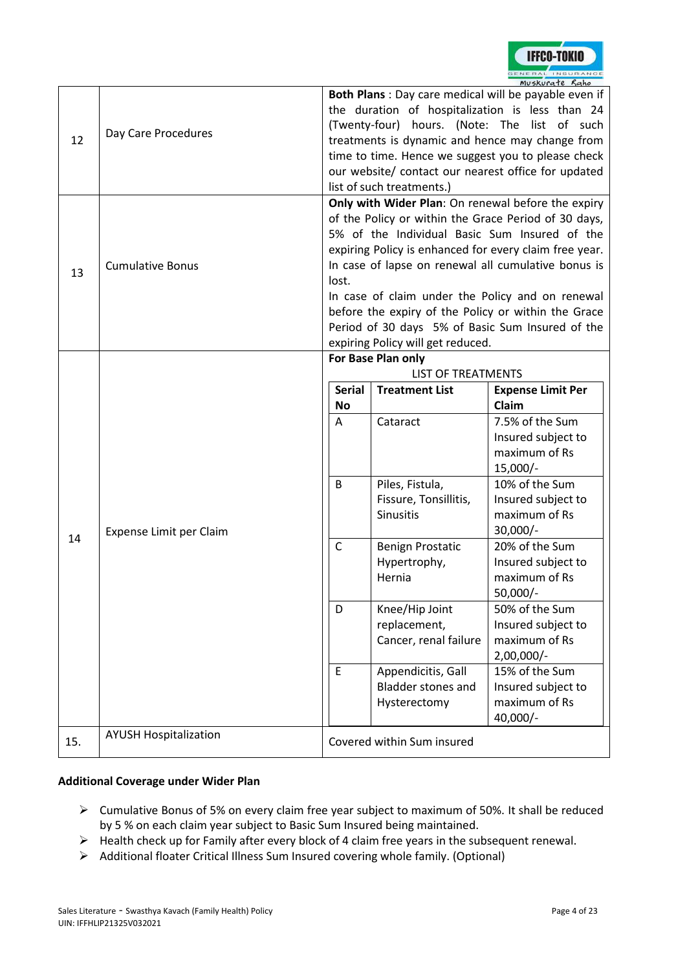

| 12  | Day Care Procedures          | Both Plans : Day care medical will be payable even if<br>the duration of hospitalization is less than 24<br>(Twenty-four) hours. (Note: The list of such<br>treatments is dynamic and hence may change from<br>time to time. Hence we suggest you to please check<br>our website/ contact our nearest office for updated<br>list of such treatments.)<br>Only with Wider Plan: On renewal before the expiry |                                                                                      |                                                                                                                                                                                                                                                                                                                                                                                       |  |  |  |
|-----|------------------------------|-------------------------------------------------------------------------------------------------------------------------------------------------------------------------------------------------------------------------------------------------------------------------------------------------------------------------------------------------------------------------------------------------------------|--------------------------------------------------------------------------------------|---------------------------------------------------------------------------------------------------------------------------------------------------------------------------------------------------------------------------------------------------------------------------------------------------------------------------------------------------------------------------------------|--|--|--|
| 13  | <b>Cumulative Bonus</b>      | lost.                                                                                                                                                                                                                                                                                                                                                                                                       | expiring Policy will get reduced.                                                    | of the Policy or within the Grace Period of 30 days,<br>5% of the Individual Basic Sum Insured of the<br>expiring Policy is enhanced for every claim free year.<br>In case of lapse on renewal all cumulative bonus is<br>In case of claim under the Policy and on renewal<br>before the expiry of the Policy or within the Grace<br>Period of 30 days 5% of Basic Sum Insured of the |  |  |  |
|     |                              | <b>Serial</b><br><b>No</b><br>Α                                                                                                                                                                                                                                                                                                                                                                             | For Base Plan only<br><b>LIST OF TREATMENTS</b><br><b>Treatment List</b><br>Cataract | <b>Expense Limit Per</b><br>Claim<br>7.5% of the Sum<br>Insured subject to                                                                                                                                                                                                                                                                                                            |  |  |  |
|     | Expense Limit per Claim      | B                                                                                                                                                                                                                                                                                                                                                                                                           | Piles, Fistula,<br>Fissure, Tonsillitis,<br><b>Sinusitis</b>                         | maximum of Rs<br>$15,000/-$<br>10% of the Sum<br>Insured subject to<br>maximum of Rs<br>$30,000/-$                                                                                                                                                                                                                                                                                    |  |  |  |
| 14  |                              | C                                                                                                                                                                                                                                                                                                                                                                                                           | <b>Benign Prostatic</b><br>Hypertrophy,<br>Hernia                                    | 20% of the Sum<br>Insured subject to<br>maximum of Rs<br>$50,000/-$                                                                                                                                                                                                                                                                                                                   |  |  |  |
|     |                              | D                                                                                                                                                                                                                                                                                                                                                                                                           | Knee/Hip Joint<br>replacement,<br>Cancer, renal failure                              | 50% of the Sum<br>Insured subject to<br>maximum of Rs<br>$2,00,000/-$                                                                                                                                                                                                                                                                                                                 |  |  |  |
|     |                              | E                                                                                                                                                                                                                                                                                                                                                                                                           | Appendicitis, Gall<br><b>Bladder stones and</b><br>Hysterectomy                      | 15% of the Sum<br>Insured subject to<br>maximum of Rs<br>40,000/-                                                                                                                                                                                                                                                                                                                     |  |  |  |
| 15. | <b>AYUSH Hospitalization</b> |                                                                                                                                                                                                                                                                                                                                                                                                             | Covered within Sum insured                                                           |                                                                                                                                                                                                                                                                                                                                                                                       |  |  |  |

#### **Additional Coverage under Wider Plan**

- Cumulative Bonus of 5% on every claim free year subject to maximum of 50%. It shall be reduced by 5 % on each claim year subject to Basic Sum Insured being maintained.
- Health check up for Family after every block of 4 claim free years in the subsequent renewal.
- Additional floater Critical Illness Sum Insured covering whole family. (Optional)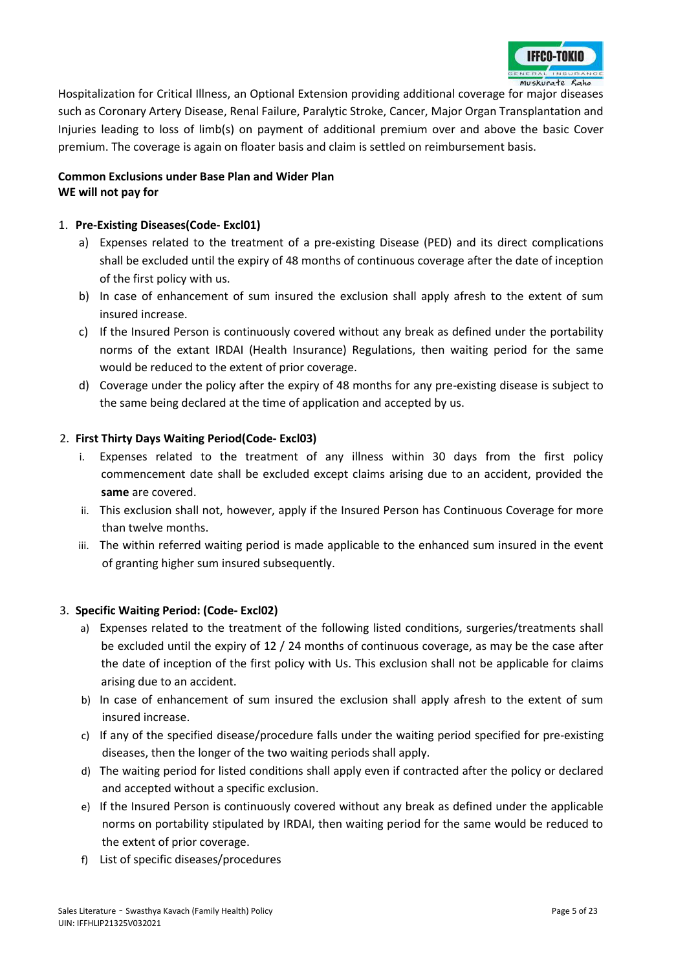

Hospitalization for Critical Illness, an Optional Extension providing additional coverage for major diseases such as Coronary Artery Disease, Renal Failure, Paralytic Stroke, Cancer, Major Organ Transplantation and Injuries leading to loss of limb(s) on payment of additional premium over and above the basic Cover premium. The coverage is again on floater basis and claim is settled on reimbursement basis.

## **Common Exclusions under Base Plan and Wider Plan WE will not pay for**

## 1. **Pre-Existing Diseases(Code- Excl01)**

- a) Expenses related to the treatment of a pre-existing Disease (PED) and its direct complications shall be excluded until the expiry of 48 months of continuous coverage after the date of inception of the first policy with us.
- b) In case of enhancement of sum insured the exclusion shall apply afresh to the extent of sum insured increase.
- c) If the Insured Person is continuously covered without any break as defined under the portability norms of the extant IRDAI (Health Insurance) Regulations, then waiting period for the same would be reduced to the extent of prior coverage.
- d) Coverage under the policy after the expiry of 48 months for any pre-existing disease is subject to the same being declared at the time of application and accepted by us.

## 2. **First Thirty Days Waiting Period(Code- Excl03)**

- i. Expenses related to the treatment of any illness within 30 days from the first policy commencement date shall be excluded except claims arising due to an accident, provided the **same** are covered.
- ii. This exclusion shall not, however, apply if the Insured Person has Continuous Coverage for more than twelve months.
- iii. The within referred waiting period is made applicable to the enhanced sum insured in the event of granting higher sum insured subsequently.

#### 3. **Specific Waiting Period: (Code- Excl02)**

- a) Expenses related to the treatment of the following listed conditions, surgeries/treatments shall be excluded until the expiry of 12 / 24 months of continuous coverage, as may be the case after the date of inception of the first policy with Us. This exclusion shall not be applicable for claims arising due to an accident.
- b) In case of enhancement of sum insured the exclusion shall apply afresh to the extent of sum insured increase.
- c) If any of the specified disease/procedure falls under the waiting period specified for pre-existing diseases, then the longer of the two waiting periods shall apply.
- d) The waiting period for listed conditions shall apply even if contracted after the policy or declared and accepted without a specific exclusion.
- e) If the Insured Person is continuously covered without any break as defined under the applicable norms on portability stipulated by IRDAI, then waiting period for the same would be reduced to the extent of prior coverage.
- f) List of specific diseases/procedures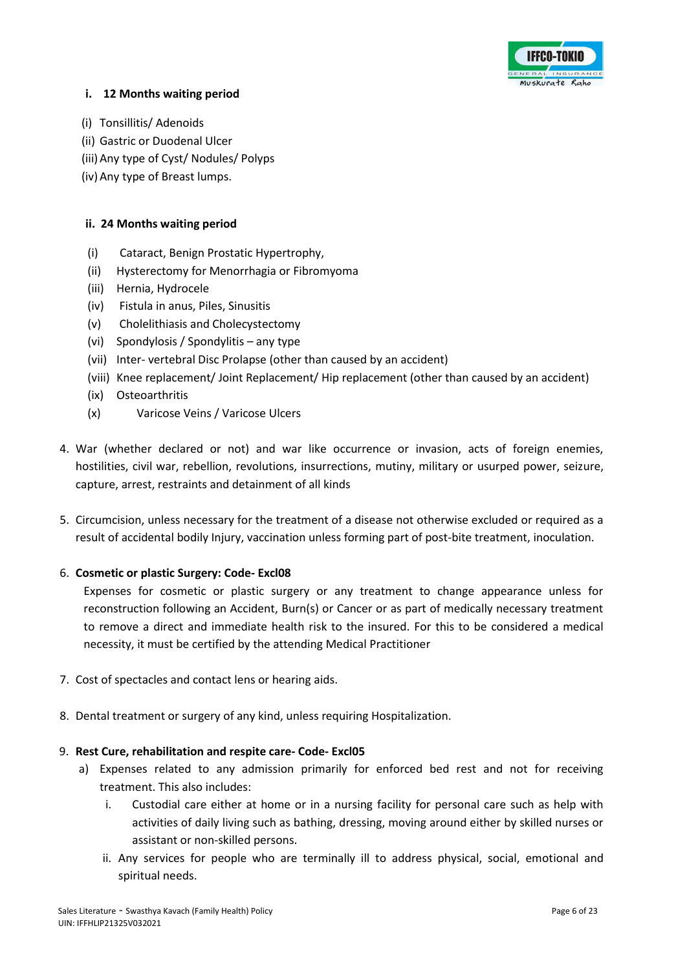

### **i. 12 Months waiting period**

- (i) Tonsillitis/ Adenoids
- (ii) Gastric or Duodenal Ulcer
- (iii)Any type of Cyst/ Nodules/ Polyps
- (iv)Any type of Breast lumps.

## **ii. 24 Months waiting period**

- (i) Cataract, Benign Prostatic Hypertrophy,
- (ii) Hysterectomy for Menorrhagia or Fibromyoma
- (iii) Hernia, Hydrocele
- (iv) Fistula in anus, Piles, Sinusitis
- (v) Cholelithiasis and Cholecystectomy
- (vi) Spondylosis / Spondylitis any type
- (vii) Inter- vertebral Disc Prolapse (other than caused by an accident)
- (viii) Knee replacement/ Joint Replacement/ Hip replacement (other than caused by an accident)
- (ix) Osteoarthritis
- (x) Varicose Veins / Varicose Ulcers
- 4. War (whether declared or not) and war like occurrence or invasion, acts of foreign enemies, hostilities, civil war, rebellion, revolutions, insurrections, mutiny, military or usurped power, seizure, capture, arrest, restraints and detainment of all kinds
- 5. Circumcision, unless necessary for the treatment of a disease not otherwise excluded or required as a result of accidental bodily Injury, vaccination unless forming part of post-bite treatment, inoculation.

## 6. **Cosmetic or plastic Surgery: Code- Excl08**

Expenses for cosmetic or plastic surgery or any treatment to change appearance unless for reconstruction following an Accident, Burn(s) or Cancer or as part of medically necessary treatment to remove a direct and immediate health risk to the insured. For this to be considered a medical necessity, it must be certified by the attending Medical Practitioner

- 7. Cost of spectacles and contact lens or hearing aids.
- 8. Dental treatment or surgery of any kind, unless requiring Hospitalization.

## 9. **Rest Cure, rehabilitation and respite care- Code- Excl05**

- a) Expenses related to any admission primarily for enforced bed rest and not for receiving treatment. This also includes:
	- i. Custodial care either at home or in a nursing facility for personal care such as help with activities of daily living such as bathing, dressing, moving around either by skilled nurses or assistant or non-skilled persons.
	- ii. Any services for people who are terminally ill to address physical, social, emotional and spiritual needs.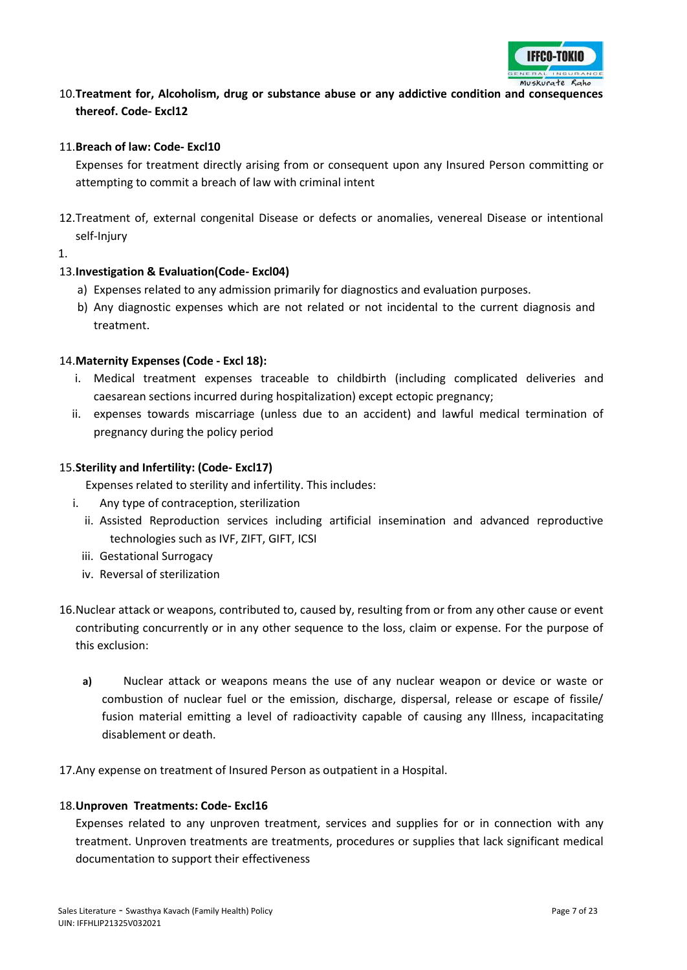

## 10.**Treatment for, Alcoholism, drug or substance abuse or any addictive condition and consequences thereof. Code- Excl12**

#### 11.**Breach of law: Code- Excl10**

Expenses for treatment directly arising from or consequent upon any Insured Person committing or attempting to commit a breach of law with criminal intent

12.Treatment of, external congenital Disease or defects or anomalies, venereal Disease or intentional self-Injury

1.

## 13.**Investigation & Evaluation(Code- Excl04)**

- a) Expenses related to any admission primarily for diagnostics and evaluation purposes.
- b) Any diagnostic expenses which are not related or not incidental to the current diagnosis and treatment.

## 14.**Maternity Expenses (Code - Excl 18):**

- i. Medical treatment expenses traceable to childbirth (including complicated deliveries and caesarean sections incurred during hospitalization) except ectopic pregnancy;
- ii. expenses towards miscarriage (unless due to an accident) and lawful medical termination of pregnancy during the policy period

#### 15.**Sterility and Infertility: (Code- Excl17)**

Expenses related to sterility and infertility. This includes:

- i. Any type of contraception, sterilization
	- ii. Assisted Reproduction services including artificial insemination and advanced reproductive technologies such as IVF, ZIFT, GIFT, ICSI
	- iii. Gestational Surrogacy
	- iv. Reversal of sterilization
- 16.Nuclear attack or weapons, contributed to, caused by, resulting from or from any other cause or event contributing concurrently or in any other sequence to the loss, claim or expense. For the purpose of this exclusion:
	- **a)** Nuclear attack or weapons means the use of any nuclear weapon or device or waste or combustion of nuclear fuel or the emission, discharge, dispersal, release or escape of fissile/ fusion material emitting a level of radioactivity capable of causing any Illness, incapacitating disablement or death.
- 17.Any expense on treatment of Insured Person as outpatient in a Hospital.

#### 18.**Unproven Treatments: Code- Excl16**

Expenses related to any unproven treatment, services and supplies for or in connection with any treatment. Unproven treatments are treatments, procedures or supplies that lack significant medical documentation to support their effectiveness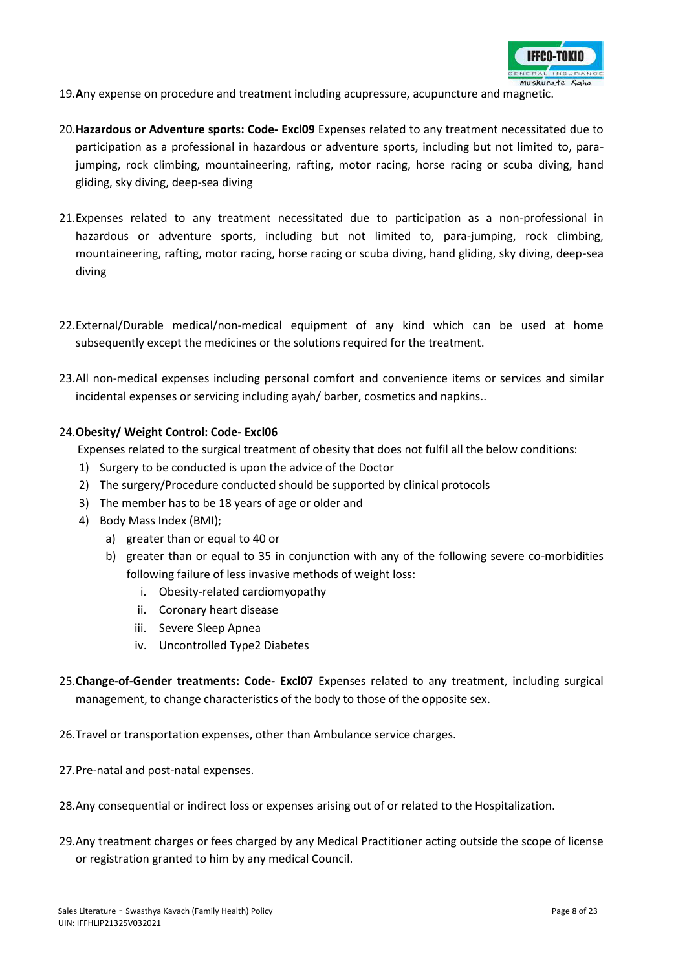

19.**A**ny expense on procedure and treatment including acupressure, acupuncture and magnetic.

- 20.**Hazardous or Adventure sports: Code- Excl09** Expenses related to any treatment necessitated due to participation as a professional in hazardous or adventure sports, including but not limited to, parajumping, rock climbing, mountaineering, rafting, motor racing, horse racing or scuba diving, hand gliding, sky diving, deep-sea diving
- 21.Expenses related to any treatment necessitated due to participation as a non-professional in hazardous or adventure sports, including but not limited to, para-jumping, rock climbing, mountaineering, rafting, motor racing, horse racing or scuba diving, hand gliding, sky diving, deep-sea diving
- 22.External/Durable medical/non-medical equipment of any kind which can be used at home subsequently except the medicines or the solutions required for the treatment.
- 23.All non-medical expenses including personal comfort and convenience items or services and similar incidental expenses or servicing including ayah/ barber, cosmetics and napkins..

#### 24.**Obesity/ Weight Control: Code- Excl06**

Expenses related to the surgical treatment of obesity that does not fulfil all the below conditions:

- 1) Surgery to be conducted is upon the advice of the Doctor
- 2) The surgery/Procedure conducted should be supported by clinical protocols
- 3) The member has to be 18 years of age or older and
- 4) Body Mass Index (BMI);
	- a) greater than or equal to 40 or
	- b) greater than or equal to 35 in conjunction with any of the following severe co-morbidities following failure of less invasive methods of weight loss:
		- i. Obesity-related cardiomyopathy
		- ii. Coronary heart disease
		- iii. Severe Sleep Apnea
		- iv. Uncontrolled Type2 Diabetes
- 25.**Change-of-Gender treatments: Code- Excl07** Expenses related to any treatment, including surgical management, to change characteristics of the body to those of the opposite sex.
- 26.Travel or transportation expenses, other than Ambulance service charges.
- 27.Pre-natal and post-natal expenses.
- 28.Any consequential or indirect loss or expenses arising out of or related to the Hospitalization.
- 29.Any treatment charges or fees charged by any Medical Practitioner acting outside the scope of license or registration granted to him by any medical Council.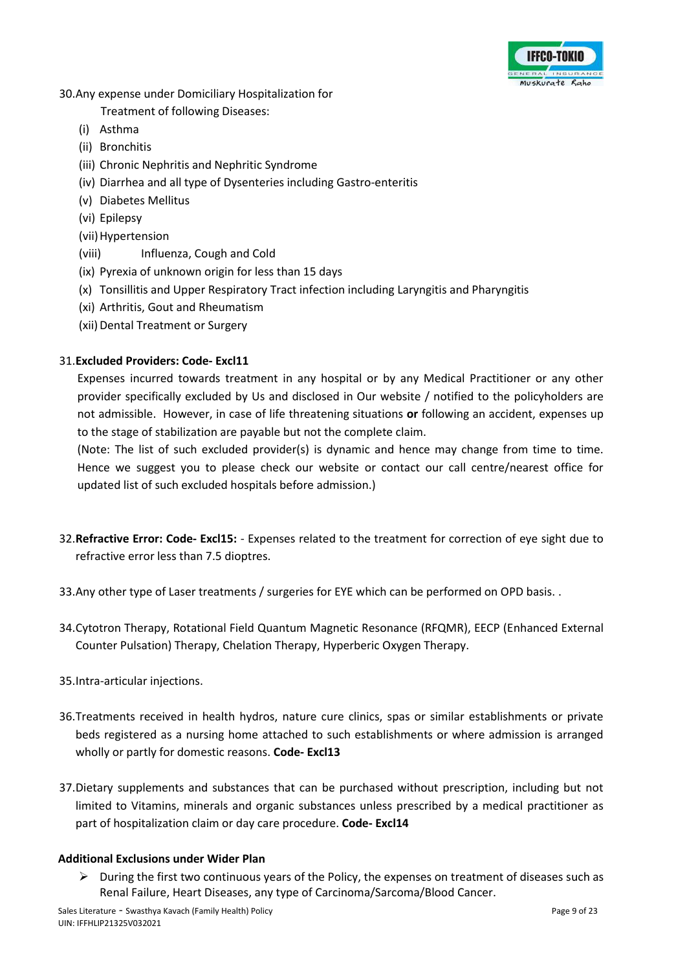

## 30.Any expense under Domiciliary Hospitalization for

Treatment of following Diseases:

- (i) Asthma
- (ii) Bronchitis
- (iii) Chronic Nephritis and Nephritic Syndrome
- (iv) Diarrhea and all type of Dysenteries including Gastro-enteritis
- (v) Diabetes Mellitus
- (vi) Epilepsy
- (vii) Hypertension
- (viii) Influenza, Cough and Cold
- (ix) Pyrexia of unknown origin for less than 15 days
- (x) Tonsillitis and Upper Respiratory Tract infection including Laryngitis and Pharyngitis
- (xi) Arthritis, Gout and Rheumatism
- (xii) Dental Treatment or Surgery

## 31.**Excluded Providers: Code- Excl11**

Expenses incurred towards treatment in any hospital or by any Medical Practitioner or any other provider specifically excluded by Us and disclosed in Our website / notified to the policyholders are not admissible. However, in case of life threatening situations **or** following an accident, expenses up to the stage of stabilization are payable but not the complete claim.

(Note: The list of such excluded provider(s) is dynamic and hence may change from time to time. Hence we suggest you to please check our website or contact our call centre/nearest office for updated list of such excluded hospitals before admission.)

- 32.**Refractive Error: Code- Excl15:** Expenses related to the treatment for correction of eye sight due to refractive error less than 7.5 dioptres.
- 33.Any other type of Laser treatments / surgeries for EYE which can be performed on OPD basis. .
- 34.Cytotron Therapy, Rotational Field Quantum Magnetic Resonance (RFQMR), EECP (Enhanced External Counter Pulsation) Therapy, Chelation Therapy, Hyperberic Oxygen Therapy.
- 35.Intra-articular injections.
- 36.Treatments received in health hydros, nature cure clinics, spas or similar establishments or private beds registered as a nursing home attached to such establishments or where admission is arranged wholly or partly for domestic reasons. **Code- Excl13**
- 37.Dietary supplements and substances that can be purchased without prescription, including but not limited to Vitamins, minerals and organic substances unless prescribed by a medical practitioner as part of hospitalization claim or day care procedure. **Code- Excl14**

## **Additional Exclusions under Wider Plan**

 $\triangleright$  During the first two continuous years of the Policy, the expenses on treatment of diseases such as Renal Failure, Heart Diseases, any type of Carcinoma/Sarcoma/Blood Cancer.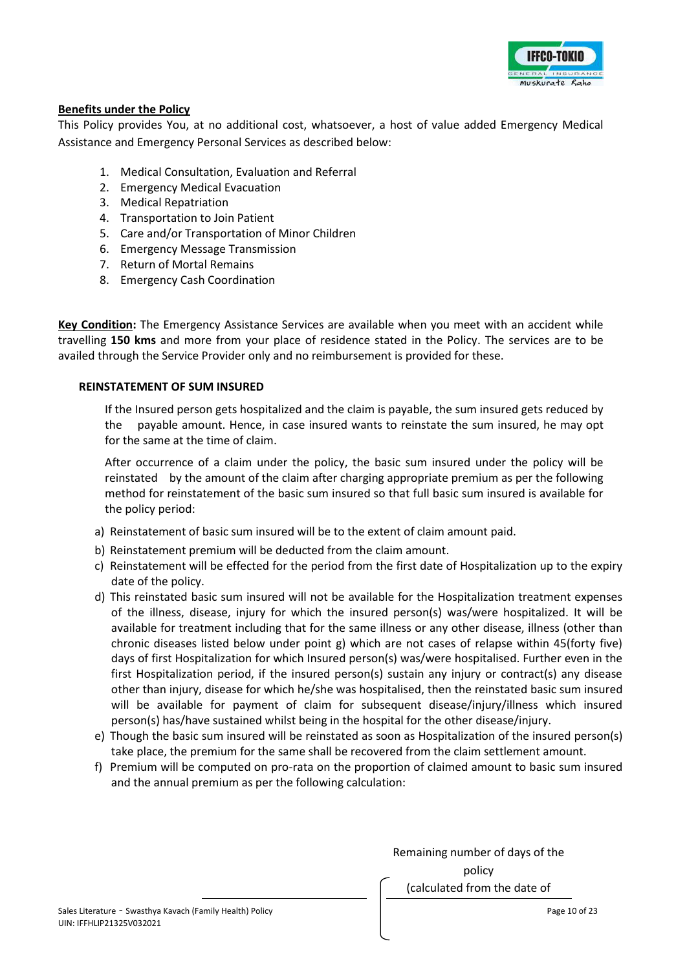

## **Benefits under the Policy**

This Policy provides You, at no additional cost, whatsoever, a host of value added Emergency Medical Assistance and Emergency Personal Services as described below:

- 1. Medical Consultation, Evaluation and Referral
- 2. Emergency Medical Evacuation
- 3. Medical Repatriation
- 4. Transportation to Join Patient
- 5. Care and/or Transportation of Minor Children
- 6. Emergency Message Transmission
- 7. Return of Mortal Remains
- 8. Emergency Cash Coordination

**Key Condition:** The Emergency Assistance Services are available when you meet with an accident while travelling **150 kms** and more from your place of residence stated in the Policy. The services are to be availed through the Service Provider only and no reimbursement is provided for these.

#### **REINSTATEMENT OF SUM INSURED**

If the Insured person gets hospitalized and the claim is payable, the sum insured gets reduced by the payable amount. Hence, in case insured wants to reinstate the sum insured, he may opt for the same at the time of claim.

After occurrence of a claim under the policy, the basic sum insured under the policy will be reinstated by the amount of the claim after charging appropriate premium as per the following method for reinstatement of the basic sum insured so that full basic sum insured is available for the policy period:

- a) Reinstatement of basic sum insured will be to the extent of claim amount paid.
- b) Reinstatement premium will be deducted from the claim amount.
- c) Reinstatement will be effected for the period from the first date of Hospitalization up to the expiry date of the policy.
- d) This reinstated basic sum insured will not be available for the Hospitalization treatment expenses of the illness, disease, injury for which the insured person(s) was/were hospitalized. It will be available for treatment including that for the same illness or any other disease, illness (other than chronic diseases listed below under point g) which are not cases of relapse within 45(forty five) days of first Hospitalization for which Insured person(s) was/were hospitalised. Further even in the first Hospitalization period, if the insured person(s) sustain any injury or contract(s) any disease other than injury, disease for which he/she was hospitalised, then the reinstated basic sum insured will be available for payment of claim for subsequent disease/injury/illness which insured person(s) has/have sustained whilst being in the hospital for the other disease/injury.
- e) Though the basic sum insured will be reinstated as soon as Hospitalization of the insured person(s) take place, the premium for the same shall be recovered from the claim settlement amount.
- f) Premium will be computed on pro-rata on the proportion of claimed amount to basic sum insured and the annual premium as per the following calculation:

Remaining number of days of the policy (calculated from the date of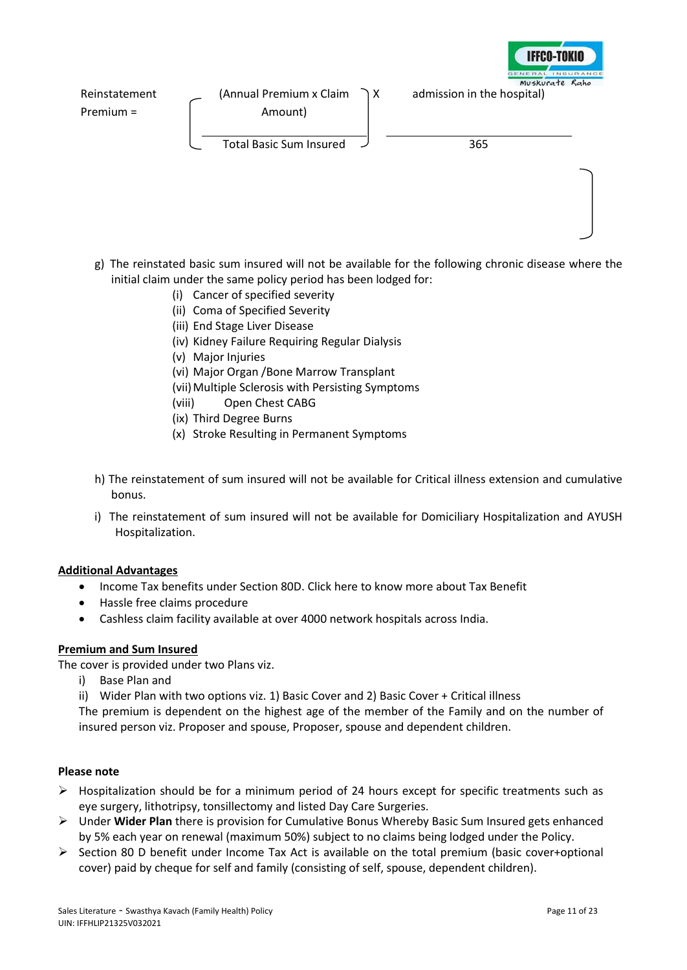

- g) The reinstated basic sum insured will not be available for the following chronic disease where the initial claim under the same policy period has been lodged for:
	- (i) Cancer of specified severity
	- (ii) Coma of Specified Severity
	- (iii) End Stage Liver Disease
	- (iv) Kidney Failure Requiring Regular Dialysis
	- (v) Major Injuries
	- (vi) Major Organ /Bone Marrow Transplant
	- (vii) Multiple Sclerosis with Persisting Symptoms
	- (viii) Open Chest CABG
	- (ix) Third Degree Burns
	- (x) Stroke Resulting in Permanent Symptoms
- h) The reinstatement of sum insured will not be available for Critical illness extension and cumulative bonus.
- i) The reinstatement of sum insured will not be available for Domiciliary Hospitalization and AYUSH Hospitalization.

## **Additional Advantages**

- Income Tax benefits under Section 80D[. Click here](http://www.icicilombard.com/app/ilom-en/PersonalProducts/Health/floater.aspx) to know more about Tax Benefit
- Hassle free claims procedure
- Cashless claim facility available at over 4000 network hospitals across India.

## **Premium and Sum Insured**

The cover is provided under two Plans viz.

- i) Base Plan and
- ii) Wider Plan with two options viz. 1) Basic Cover and 2) Basic Cover + Critical illness

The premium is dependent on the highest age of the member of the Family and on the number of insured person viz. Proposer and spouse, Proposer, spouse and dependent children.

#### **Please note**

- $\triangleright$  Hospitalization should be for a minimum period of 24 hours except for specific treatments such as eye surgery, lithotripsy, tonsillectomy and listed Day Care Surgeries.
- Under **Wider Plan** there is provision for Cumulative Bonus Whereby Basic Sum Insured gets enhanced by 5% each year on renewal (maximum 50%) subject to no claims being lodged under the Policy.
- $\triangleright$  Section 80 D benefit under Income Tax Act is available on the total premium (basic cover+optional cover) paid by cheque for self and family (consisting of self, spouse, dependent children).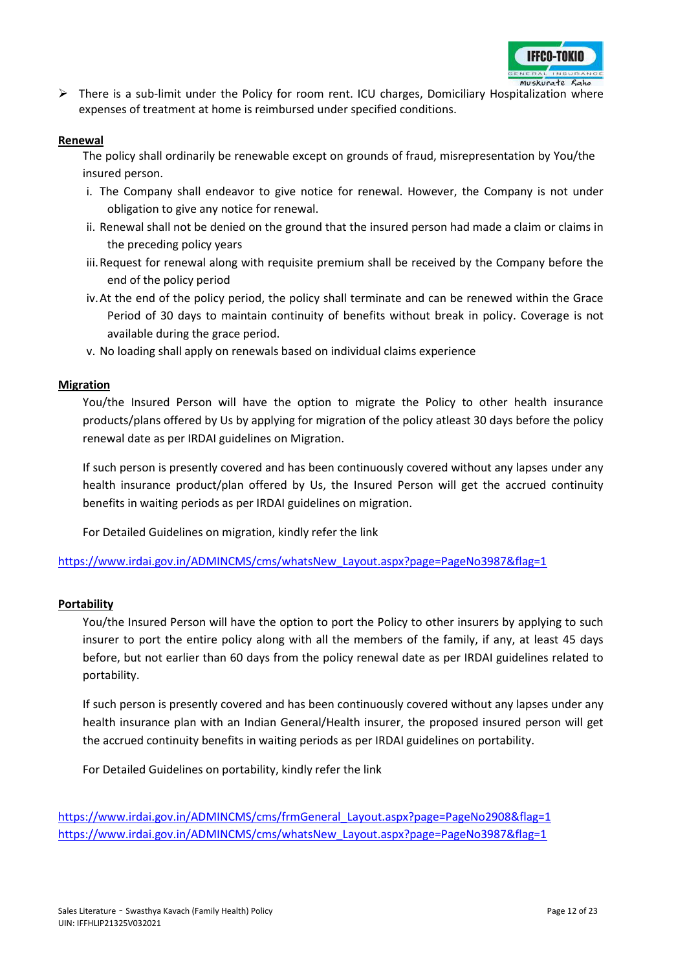

 $\triangleright$  There is a sub-limit under the Policy for room rent. ICU charges, Domiciliary Hospitalization where expenses of treatment at home is reimbursed under specified conditions.

#### **Renewal**

The policy shall ordinarily be renewable except on grounds of fraud, misrepresentation by You/the insured person.

- i. The Company shall endeavor to give notice for renewal. However, the Company is not under obligation to give any notice for renewal.
- ii. Renewal shall not be denied on the ground that the insured person had made a claim or claims in the preceding policy years
- iii.Request for renewal along with requisite premium shall be received by the Company before the end of the policy period
- iv.At the end of the policy period, the policy shall terminate and can be renewed within the Grace Period of 30 days to maintain continuity of benefits without break in policy. Coverage is not available during the grace period.
- v. No loading shall apply on renewals based on individual claims experience

#### **Migration**

You/the Insured Person will have the option to migrate the Policy to other health insurance products/plans offered by Us by applying for migration of the policy atleast 30 days before the policy renewal date as per IRDAI guidelines on Migration.

If such person is presently covered and has been continuously covered without any lapses under any health insurance product/plan offered by Us, the Insured Person will get the accrued continuity benefits in waiting periods as per IRDAI guidelines on migration.

For Detailed Guidelines on migration, kindly refer the link

[https://www.irdai.gov.in/ADMINCMS/cms/whatsNew\\_Layout.aspx?page=PageNo3987&flag=1](https://www.irdai.gov.in/ADMINCMS/cms/whatsNew_Layout.aspx?page=PageNo3987&flag=1)

#### **Portability**

You/the Insured Person will have the option to port the Policy to other insurers by applying to such insurer to port the entire policy along with all the members of the family, if any, at least 45 days before, but not earlier than 60 days from the policy renewal date as per IRDAI guidelines related to portability.

If such person is presently covered and has been continuously covered without any lapses under any health insurance plan with an Indian General/Health insurer, the proposed insured person will get the accrued continuity benefits in waiting periods as per IRDAI guidelines on portability.

For Detailed Guidelines on portability, kindly refer the link

[https://www.irdai.gov.in/ADMINCMS/cms/frmGeneral\\_Layout.aspx?page=PageNo2908&flag=1](https://www.irdai.gov.in/ADMINCMS/cms/frmGeneral_Layout.aspx?page=PageNo2908&flag=1) [https://www.irdai.gov.in/ADMINCMS/cms/whatsNew\\_Layout.aspx?page=PageNo3987&flag=1](https://www.irdai.gov.in/ADMINCMS/cms/whatsNew_Layout.aspx?page=PageNo3987&flag=1)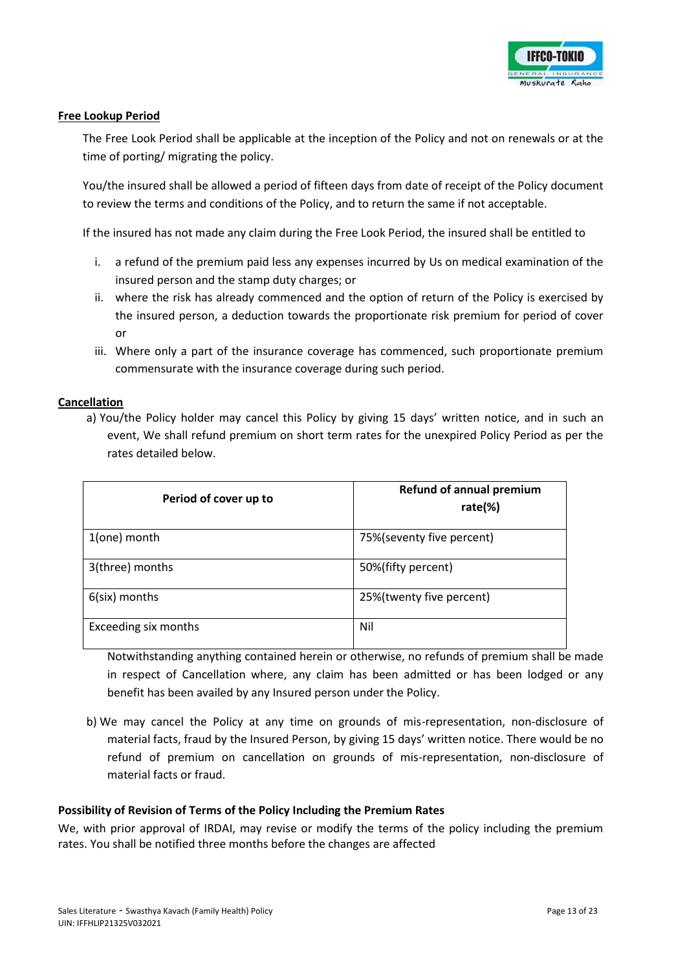

#### **Free Lookup Period**

The Free Look Period shall be applicable at the inception of the Policy and not on renewals or at the time of porting/ migrating the policy.

You/the insured shall be allowed a period of fifteen days from date of receipt of the Policy document to review the terms and conditions of the Policy, and to return the same if not acceptable.

If the insured has not made any claim during the Free Look Period, the insured shall be entitled to

- i. a refund of the premium paid less any expenses incurred by Us on medical examination of the insured person and the stamp duty charges; or
- ii. where the risk has already commenced and the option of return of the Policy is exercised by the insured person, a deduction towards the proportionate risk premium for period of cover or
- iii. Where only a part of the insurance coverage has commenced, such proportionate premium commensurate with the insurance coverage during such period.

#### **Cancellation**

a) You/the Policy holder may cancel this Policy by giving 15 days' written notice, and in such an event, We shall refund premium on short term rates for the unexpired Policy Period as per the rates detailed below.

| Period of cover up to | <b>Refund of annual premium</b><br>rate $(\%)$ |
|-----------------------|------------------------------------------------|
| 1(one) month          | 75% (seventy five percent)                     |
| 3(three) months       | 50%(fifty percent)                             |
| $6$ (six) months      | 25%(twenty five percent)                       |
| Exceeding six months  | Nil                                            |

Notwithstanding anything contained herein or otherwise, no refunds of premium shall be made in respect of Cancellation where, any claim has been admitted or has been lodged or any benefit has been availed by any Insured person under the Policy.

b) We may cancel the Policy at any time on grounds of mis-representation, non-disclosure of material facts, fraud by the Insured Person, by giving 15 days' written notice. There would be no refund of premium on cancellation on grounds of mis-representation, non-disclosure of material facts or fraud.

#### **Possibility of Revision of Terms of the Policy Including the Premium Rates**

We, with prior approval of IRDAI, may revise or modify the terms of the policy including the premium rates. You shall be notified three months before the changes are affected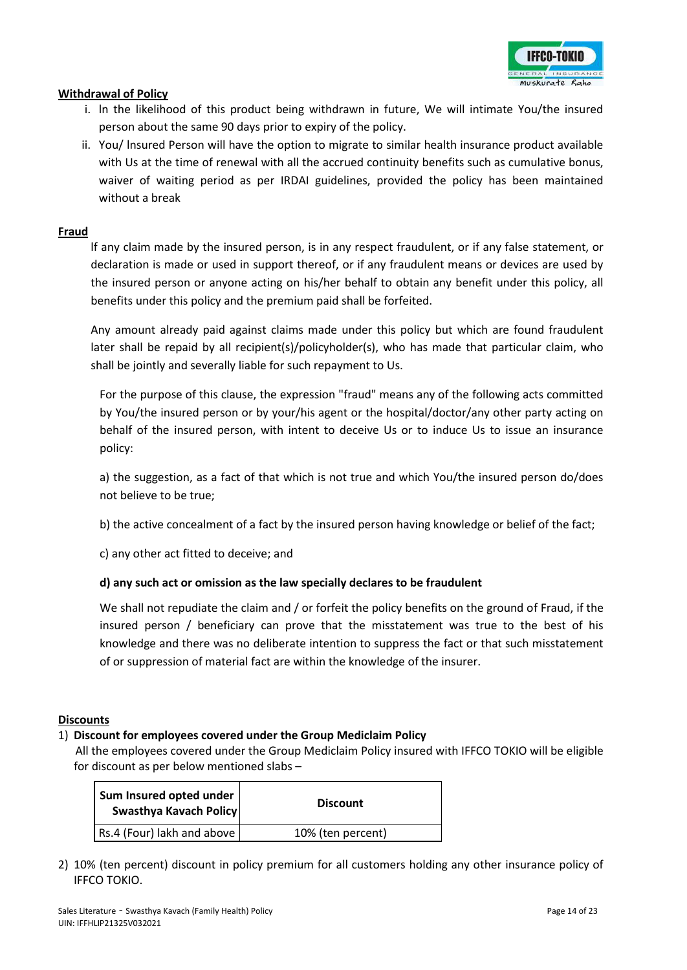

#### **Withdrawal of Policy**

- i. ln the likelihood of this product being withdrawn in future, We will intimate You/the insured person about the same 90 days prior to expiry of the policy.
- ii. You/ lnsured Person will have the option to migrate to similar health insurance product available with Us at the time of renewal with all the accrued continuity benefits such as cumulative bonus, waiver of waiting period as per IRDAI guidelines, provided the policy has been maintained without a break

#### **Fraud**

lf any claim made by the insured person, is in any respect fraudulent, or if any false statement, or declaration is made or used in support thereof, or if any fraudulent means or devices are used by the insured person or anyone acting on his/her behalf to obtain any benefit under this policy, all benefits under this policy and the premium paid shall be forfeited.

Any amount already paid against claims made under this policy but which are found fraudulent later shall be repaid by all recipient(s)/policyholder(s), who has made that particular claim, who shall be jointly and severally liable for such repayment to Us.

For the purpose of this clause, the expression "fraud" means any of the following acts committed by You/the insured person or by your/his agent or the hospital/doctor/any other party acting on behalf of the insured person, with intent to deceive Us or to induce Us to issue an insurance policy:

a) the suggestion, as a fact of that which is not true and which You/the insured person do/does not believe to be true;

b) the active concealment of a fact by the insured person having knowledge or belief of the fact;

c) any other act fitted to deceive; and

#### **d) any such act or omission as the law specially declares to be fraudulent**

We shall not repudiate the claim and / or forfeit the policy benefits on the ground of Fraud, if the insured person / beneficiary can prove that the misstatement was true to the best of his knowledge and there was no deliberate intention to suppress the fact or that such misstatement of or suppression of material fact are within the knowledge of the insurer.

#### **Discounts**

#### 1) **Discount for employees covered under the Group Mediclaim Policy**

 All the employees covered under the Group Mediclaim Policy insured with IFFCO TOKIO will be eligible for discount as per below mentioned slabs –

| Sum Insured opted under<br>Swasthya Kavach Policy | <b>Discount</b>   |
|---------------------------------------------------|-------------------|
| Rs.4 (Four) lakh and above                        | 10% (ten percent) |

2) 10% (ten percent) discount in policy premium for all customers holding any other insurance policy of IFFCO TOKIO.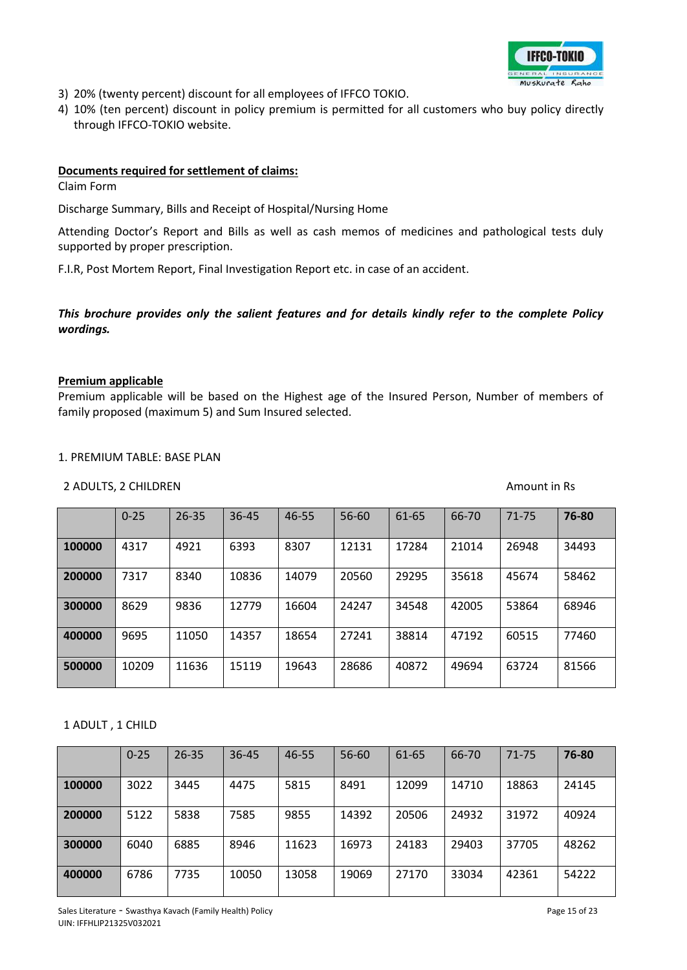

- 3) 20% (twenty percent) discount for all employees of IFFCO TOKIO.
- 4) 10% (ten percent) discount in policy premium is permitted for all customers who buy policy directly through IFFCO-TOKIO website.

#### **Documents required for settlement of claims:**

Claim Form

Discharge Summary, Bills and Receipt of Hospital/Nursing Home

Attending Doctor's Report and Bills as well as cash memos of medicines and pathological tests duly supported by proper prescription.

F.I.R, Post Mortem Report, Final Investigation Report etc. in case of an accident.

## *This brochure provides only the salient features and for details kindly refer to the complete Policy wordings.*

#### **Premium applicable**

Premium applicable will be based on the Highest age of the Insured Person, Number of members of family proposed (maximum 5) and Sum Insured selected.

#### 1. PREMIUM TABLE: BASE PLAN

#### 2 ADULTS, 2 CHILDREN Amount in Rs

|        | $0 - 25$ | $26 - 35$ | $36 - 45$ | 46-55 | 56-60 | 61-65 | 66-70 | 71-75 | 76-80 |
|--------|----------|-----------|-----------|-------|-------|-------|-------|-------|-------|
| 100000 | 4317     | 4921      | 6393      | 8307  | 12131 | 17284 | 21014 | 26948 | 34493 |
| 200000 | 7317     | 8340      | 10836     | 14079 | 20560 | 29295 | 35618 | 45674 | 58462 |
| 300000 | 8629     | 9836      | 12779     | 16604 | 24247 | 34548 | 42005 | 53864 | 68946 |
| 400000 | 9695     | 11050     | 14357     | 18654 | 27241 | 38814 | 47192 | 60515 | 77460 |
| 500000 | 10209    | 11636     | 15119     | 19643 | 28686 | 40872 | 49694 | 63724 | 81566 |

#### 1 ADULT , 1 CHILD

|        | $0 - 25$ | $26 - 35$ | $36 - 45$ | 46-55 | 56-60 | 61-65 | 66-70 | 71-75 | 76-80 |
|--------|----------|-----------|-----------|-------|-------|-------|-------|-------|-------|
| 100000 | 3022     | 3445      | 4475      | 5815  | 8491  | 12099 | 14710 | 18863 | 24145 |
| 200000 | 5122     | 5838      | 7585      | 9855  | 14392 | 20506 | 24932 | 31972 | 40924 |
| 300000 | 6040     | 6885      | 8946      | 11623 | 16973 | 24183 | 29403 | 37705 | 48262 |
| 400000 | 6786     | 7735      | 10050     | 13058 | 19069 | 27170 | 33034 | 42361 | 54222 |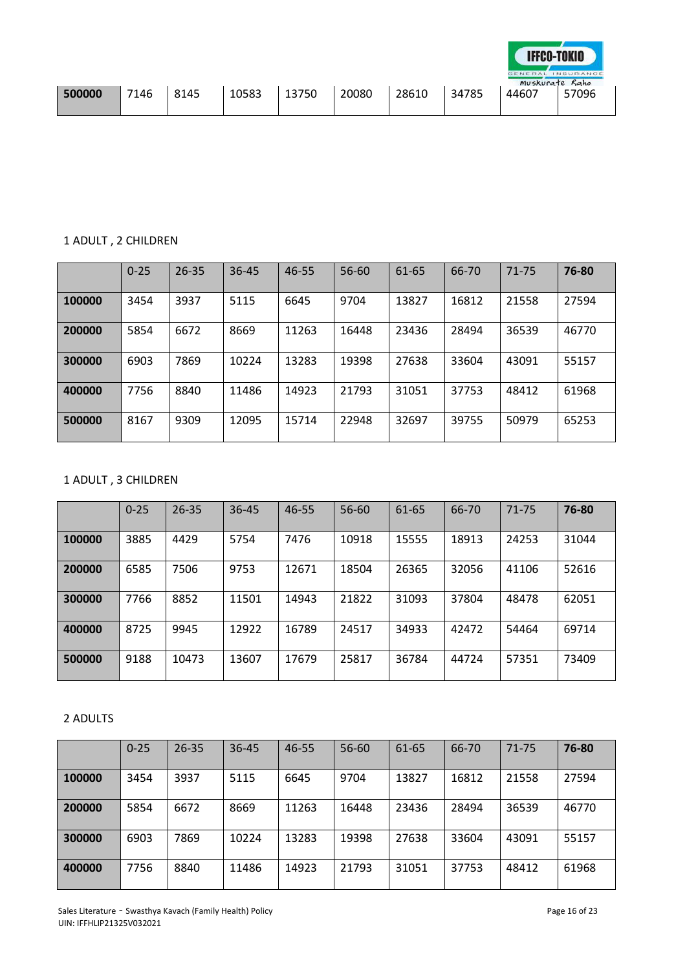|        |      |      |       |       |       |       |       | $G \nF N F R A L$<br>Muskurate Raho | INSURANCE |
|--------|------|------|-------|-------|-------|-------|-------|-------------------------------------|-----------|
| 500000 | 7146 | 8145 | 10583 | 13750 | 20080 | 28610 | 34785 | 44607                               | 57096     |

## 1 ADULT , 2 CHILDREN

|        | $0 - 25$ | $26 - 35$ | $36 - 45$ | 46-55 | 56-60 | 61-65 | 66-70 | 71-75 | 76-80 |
|--------|----------|-----------|-----------|-------|-------|-------|-------|-------|-------|
| 100000 | 3454     | 3937      | 5115      | 6645  | 9704  | 13827 | 16812 | 21558 | 27594 |
| 200000 | 5854     | 6672      | 8669      | 11263 | 16448 | 23436 | 28494 | 36539 | 46770 |
| 300000 | 6903     | 7869      | 10224     | 13283 | 19398 | 27638 | 33604 | 43091 | 55157 |
| 400000 | 7756     | 8840      | 11486     | 14923 | 21793 | 31051 | 37753 | 48412 | 61968 |
| 500000 | 8167     | 9309      | 12095     | 15714 | 22948 | 32697 | 39755 | 50979 | 65253 |

# 1 ADULT , 3 CHILDREN

|        | $0 - 25$ | $26 - 35$ | 36-45 | 46-55 | 56-60 | 61-65 | 66-70 | 71-75 | 76-80 |
|--------|----------|-----------|-------|-------|-------|-------|-------|-------|-------|
| 100000 | 3885     | 4429      | 5754  | 7476  | 10918 | 15555 | 18913 | 24253 | 31044 |
| 200000 | 6585     | 7506      | 9753  | 12671 | 18504 | 26365 | 32056 | 41106 | 52616 |
| 300000 | 7766     | 8852      | 11501 | 14943 | 21822 | 31093 | 37804 | 48478 | 62051 |
| 400000 | 8725     | 9945      | 12922 | 16789 | 24517 | 34933 | 42472 | 54464 | 69714 |
| 500000 | 9188     | 10473     | 13607 | 17679 | 25817 | 36784 | 44724 | 57351 | 73409 |

## 2 ADULTS

|        | $0 - 25$ | $26 - 35$ | $36 - 45$ | 46-55 | 56-60 | 61-65 | 66-70 | 71-75 | 76-80 |
|--------|----------|-----------|-----------|-------|-------|-------|-------|-------|-------|
| 100000 | 3454     | 3937      | 5115      | 6645  | 9704  | 13827 | 16812 | 21558 | 27594 |
| 200000 | 5854     | 6672      | 8669      | 11263 | 16448 | 23436 | 28494 | 36539 | 46770 |
| 300000 | 6903     | 7869      | 10224     | 13283 | 19398 | 27638 | 33604 | 43091 | 55157 |
| 400000 | 7756     | 8840      | 11486     | 14923 | 21793 | 31051 | 37753 | 48412 | 61968 |

**IFFCO-TOKIO**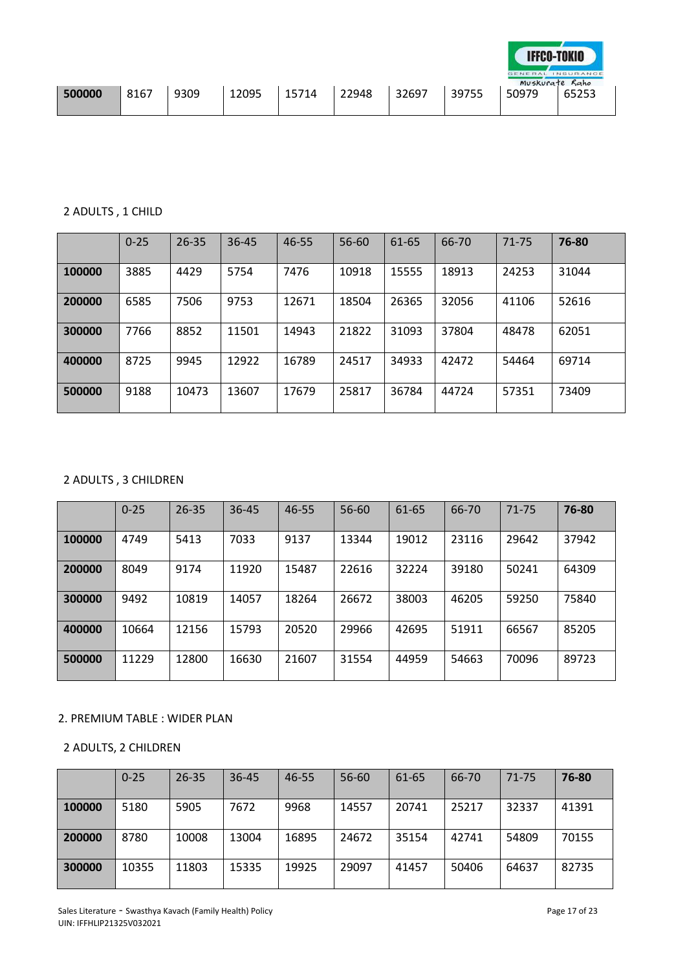|        |      |      |       |       |       |       |       | GENERAL<br>Muskurate Raho | INSURANCE |
|--------|------|------|-------|-------|-------|-------|-------|---------------------------|-----------|
| 500000 | 8167 | 9309 | 12095 | 15714 | 22948 | 32697 | 39755 | 50979                     | 65253     |

## 2 ADULTS , 1 CHILD

|        | $0 - 25$ | $26 - 35$ | $36 - 45$ | 46-55 | 56-60 | 61-65 | 66-70 | $71 - 75$ | 76-80 |
|--------|----------|-----------|-----------|-------|-------|-------|-------|-----------|-------|
| 100000 | 3885     | 4429      | 5754      | 7476  | 10918 | 15555 | 18913 | 24253     | 31044 |
| 200000 | 6585     | 7506      | 9753      | 12671 | 18504 | 26365 | 32056 | 41106     | 52616 |
| 300000 | 7766     | 8852      | 11501     | 14943 | 21822 | 31093 | 37804 | 48478     | 62051 |
| 400000 | 8725     | 9945      | 12922     | 16789 | 24517 | 34933 | 42472 | 54464     | 69714 |
| 500000 | 9188     | 10473     | 13607     | 17679 | 25817 | 36784 | 44724 | 57351     | 73409 |

## 2 ADULTS , 3 CHILDREN

|        | $0 - 25$ | $26 - 35$ | $36 - 45$ | 46-55 | 56-60 | 61-65 | 66-70 | 71-75 | 76-80 |
|--------|----------|-----------|-----------|-------|-------|-------|-------|-------|-------|
| 100000 | 4749     | 5413      | 7033      | 9137  | 13344 | 19012 | 23116 | 29642 | 37942 |
| 200000 | 8049     | 9174      | 11920     | 15487 | 22616 | 32224 | 39180 | 50241 | 64309 |
| 300000 | 9492     | 10819     | 14057     | 18264 | 26672 | 38003 | 46205 | 59250 | 75840 |
| 400000 | 10664    | 12156     | 15793     | 20520 | 29966 | 42695 | 51911 | 66567 | 85205 |
| 500000 | 11229    | 12800     | 16630     | 21607 | 31554 | 44959 | 54663 | 70096 | 89723 |

## 2. PREMIUM TABLE : WIDER PLAN

## 2 ADULTS, 2 CHILDREN

|        | $0 - 25$ | $26 - 35$ | $36 - 45$ | 46-55 | 56-60 | 61-65 | 66-70 | 71-75 | 76-80 |
|--------|----------|-----------|-----------|-------|-------|-------|-------|-------|-------|
| 100000 | 5180     | 5905      | 7672      | 9968  | 14557 | 20741 | 25217 | 32337 | 41391 |
| 200000 | 8780     | 10008     | 13004     | 16895 | 24672 | 35154 | 42741 | 54809 | 70155 |
| 300000 | 10355    | 11803     | 15335     | 19925 | 29097 | 41457 | 50406 | 64637 | 82735 |

**IFFCO-TOKIO**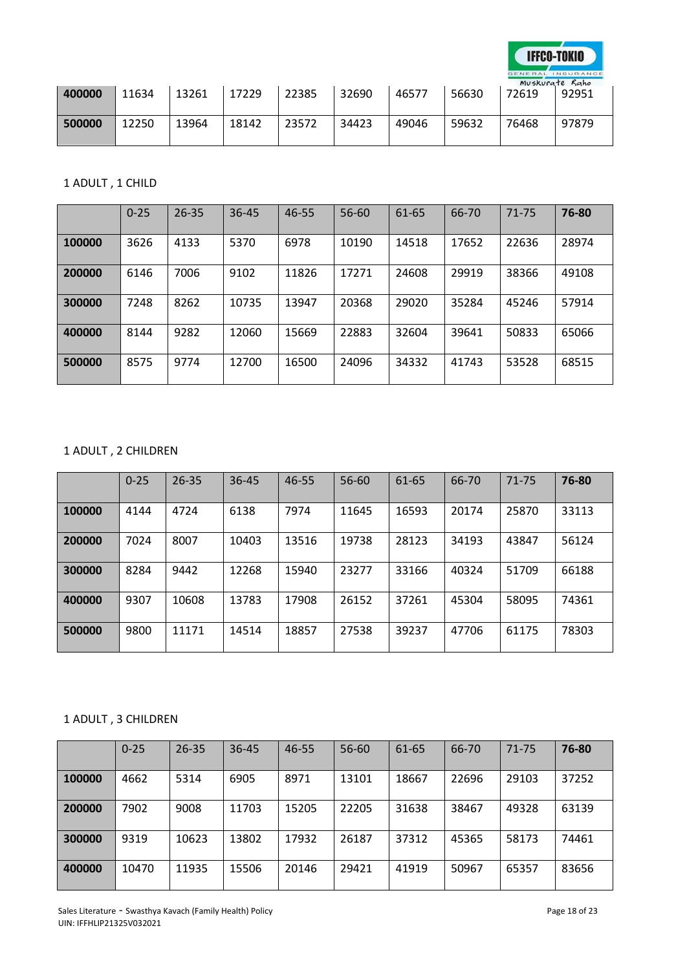

FRAL INSURANCE

| 400000 | 11634 | 13261 | 17229 | 22385 | 32690 | 46577 | 56630 | Muskurate Raho<br>72619 | 92951 |
|--------|-------|-------|-------|-------|-------|-------|-------|-------------------------|-------|
| 500000 | 12250 | 13964 | 18142 | 23572 | 34423 | 49046 | 59632 | 76468                   | 97879 |

1 ADULT , 1 CHILD

|        | $0 - 25$ | $26 - 35$ | $36 - 45$ | 46-55 | 56-60 | 61-65 | 66-70 | $71 - 75$ | 76-80 |
|--------|----------|-----------|-----------|-------|-------|-------|-------|-----------|-------|
| 100000 | 3626     | 4133      | 5370      | 6978  | 10190 | 14518 | 17652 | 22636     | 28974 |
| 200000 | 6146     | 7006      | 9102      | 11826 | 17271 | 24608 | 29919 | 38366     | 49108 |
| 300000 | 7248     | 8262      | 10735     | 13947 | 20368 | 29020 | 35284 | 45246     | 57914 |
| 400000 | 8144     | 9282      | 12060     | 15669 | 22883 | 32604 | 39641 | 50833     | 65066 |
| 500000 | 8575     | 9774      | 12700     | 16500 | 24096 | 34332 | 41743 | 53528     | 68515 |

## 1 ADULT , 2 CHILDREN

|        | $0 - 25$ | $26 - 35$ | 36-45 | 46-55 | 56-60 | 61-65 | 66-70 | $71 - 75$ | 76-80 |
|--------|----------|-----------|-------|-------|-------|-------|-------|-----------|-------|
| 100000 | 4144     | 4724      | 6138  | 7974  | 11645 | 16593 | 20174 | 25870     | 33113 |
| 200000 | 7024     | 8007      | 10403 | 13516 | 19738 | 28123 | 34193 | 43847     | 56124 |
| 300000 | 8284     | 9442      | 12268 | 15940 | 23277 | 33166 | 40324 | 51709     | 66188 |
| 400000 | 9307     | 10608     | 13783 | 17908 | 26152 | 37261 | 45304 | 58095     | 74361 |
| 500000 | 9800     | 11171     | 14514 | 18857 | 27538 | 39237 | 47706 | 61175     | 78303 |

## 1 ADULT , 3 CHILDREN

|        | $0 - 25$ | $26 - 35$ | $36 - 45$ | 46-55 | 56-60 | 61-65 | 66-70 | $71 - 75$ | 76-80 |
|--------|----------|-----------|-----------|-------|-------|-------|-------|-----------|-------|
| 100000 | 4662     | 5314      | 6905      | 8971  | 13101 | 18667 | 22696 | 29103     | 37252 |
| 200000 | 7902     | 9008      | 11703     | 15205 | 22205 | 31638 | 38467 | 49328     | 63139 |
| 300000 | 9319     | 10623     | 13802     | 17932 | 26187 | 37312 | 45365 | 58173     | 74461 |
| 400000 | 10470    | 11935     | 15506     | 20146 | 29421 | 41919 | 50967 | 65357     | 83656 |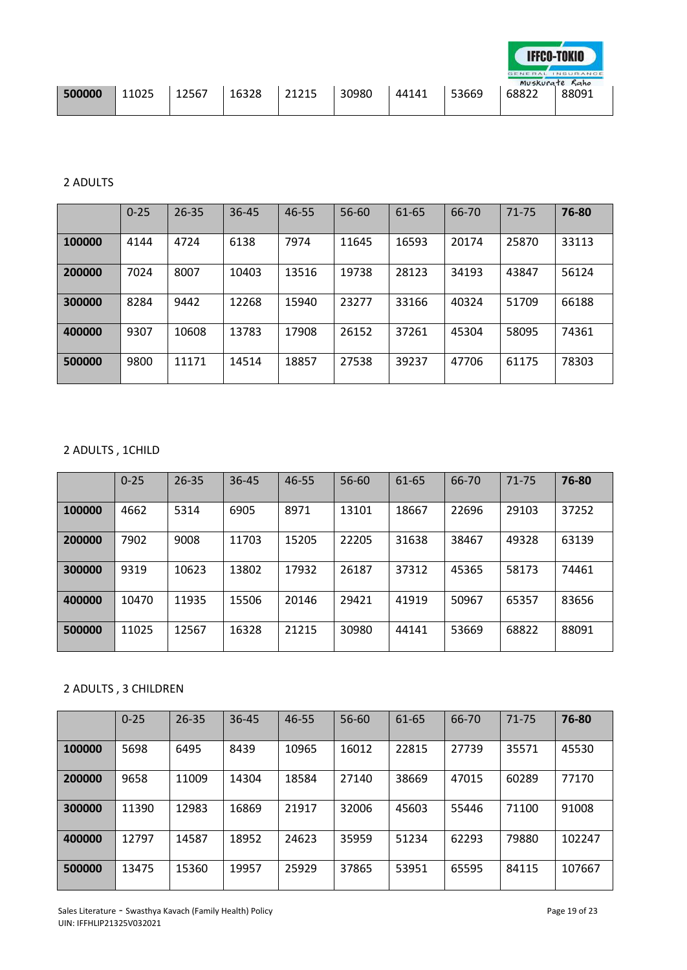|        |       |       |       |       |       |       |       |       | GENERAL INSURANCE<br>Muskurate Raho |
|--------|-------|-------|-------|-------|-------|-------|-------|-------|-------------------------------------|
| 500000 | 11025 | 12567 | 16328 | 21215 | 30980 | 44141 | 53669 | 68822 | 88091                               |

## 2 ADULTS

|        | $0 - 25$ | $26 - 35$ | $36 - 45$ | 46-55 | 56-60 | 61-65 | 66-70 | 71-75 | 76-80 |
|--------|----------|-----------|-----------|-------|-------|-------|-------|-------|-------|
| 100000 | 4144     | 4724      | 6138      | 7974  | 11645 | 16593 | 20174 | 25870 | 33113 |
| 200000 | 7024     | 8007      | 10403     | 13516 | 19738 | 28123 | 34193 | 43847 | 56124 |
| 300000 | 8284     | 9442      | 12268     | 15940 | 23277 | 33166 | 40324 | 51709 | 66188 |
| 400000 | 9307     | 10608     | 13783     | 17908 | 26152 | 37261 | 45304 | 58095 | 74361 |
| 500000 | 9800     | 11171     | 14514     | 18857 | 27538 | 39237 | 47706 | 61175 | 78303 |

## 2 ADULTS , 1CHILD

|        | $0 - 25$ | $26 - 35$ | $36 - 45$ | 46-55 | 56-60 | 61-65 | 66-70 | 71-75 | 76-80 |
|--------|----------|-----------|-----------|-------|-------|-------|-------|-------|-------|
| 100000 | 4662     | 5314      | 6905      | 8971  | 13101 | 18667 | 22696 | 29103 | 37252 |
| 200000 | 7902     | 9008      | 11703     | 15205 | 22205 | 31638 | 38467 | 49328 | 63139 |
| 300000 | 9319     | 10623     | 13802     | 17932 | 26187 | 37312 | 45365 | 58173 | 74461 |
| 400000 | 10470    | 11935     | 15506     | 20146 | 29421 | 41919 | 50967 | 65357 | 83656 |
| 500000 | 11025    | 12567     | 16328     | 21215 | 30980 | 44141 | 53669 | 68822 | 88091 |

# 2 ADULTS , 3 CHILDREN

|        | $0 - 25$ | $26 - 35$ | 36-45 | 46-55 | 56-60 | 61-65 | 66-70 | $71 - 75$ | 76-80  |
|--------|----------|-----------|-------|-------|-------|-------|-------|-----------|--------|
| 100000 | 5698     | 6495      | 8439  | 10965 | 16012 | 22815 | 27739 | 35571     | 45530  |
| 200000 | 9658     | 11009     | 14304 | 18584 | 27140 | 38669 | 47015 | 60289     | 77170  |
| 300000 | 11390    | 12983     | 16869 | 21917 | 32006 | 45603 | 55446 | 71100     | 91008  |
| 400000 | 12797    | 14587     | 18952 | 24623 | 35959 | 51234 | 62293 | 79880     | 102247 |
| 500000 | 13475    | 15360     | 19957 | 25929 | 37865 | 53951 | 65595 | 84115     | 107667 |

**IFFCO-TOKIO**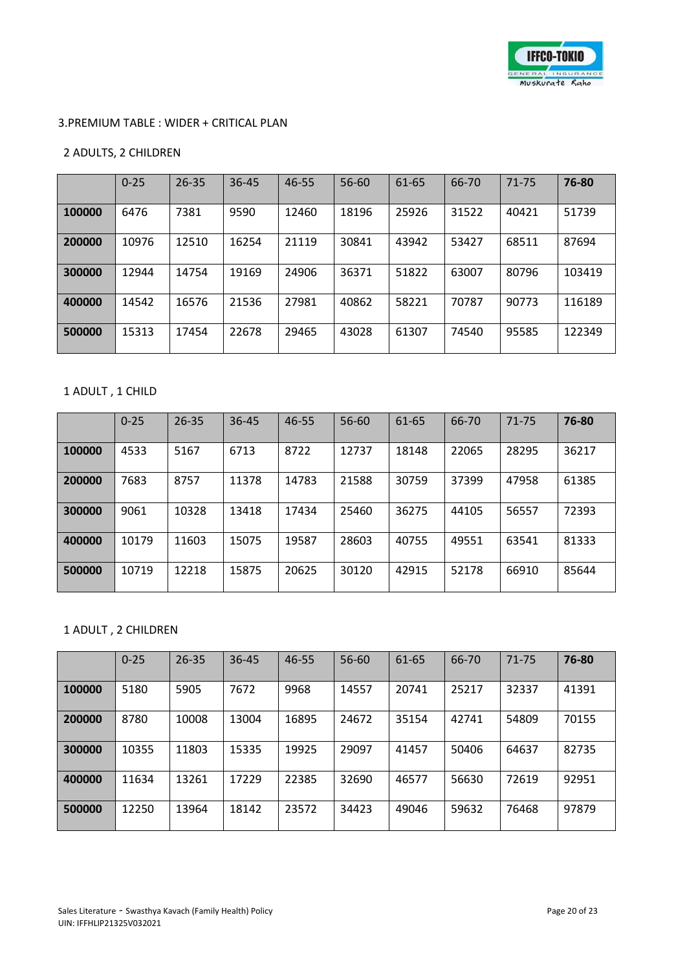

#### 3.PREMIUM TABLE : WIDER + CRITICAL PLAN

#### 2 ADULTS, 2 CHILDREN

|        | $0 - 25$ | $26 - 35$ | 36-45 | 46-55 | 56-60 | 61-65 | 66-70 | 71-75 | 76-80  |
|--------|----------|-----------|-------|-------|-------|-------|-------|-------|--------|
| 100000 | 6476     | 7381      | 9590  | 12460 | 18196 | 25926 | 31522 | 40421 | 51739  |
| 200000 | 10976    | 12510     | 16254 | 21119 | 30841 | 43942 | 53427 | 68511 | 87694  |
| 300000 | 12944    | 14754     | 19169 | 24906 | 36371 | 51822 | 63007 | 80796 | 103419 |
| 400000 | 14542    | 16576     | 21536 | 27981 | 40862 | 58221 | 70787 | 90773 | 116189 |
| 500000 | 15313    | 17454     | 22678 | 29465 | 43028 | 61307 | 74540 | 95585 | 122349 |

## 1 ADULT , 1 CHILD

|        | $0 - 25$ | $26 - 35$ | $36 - 45$ | 46-55 | 56-60 | 61-65 | 66-70 | $71 - 75$ | 76-80 |
|--------|----------|-----------|-----------|-------|-------|-------|-------|-----------|-------|
| 100000 | 4533     | 5167      | 6713      | 8722  | 12737 | 18148 | 22065 | 28295     | 36217 |
| 200000 | 7683     | 8757      | 11378     | 14783 | 21588 | 30759 | 37399 | 47958     | 61385 |
| 300000 | 9061     | 10328     | 13418     | 17434 | 25460 | 36275 | 44105 | 56557     | 72393 |
| 400000 | 10179    | 11603     | 15075     | 19587 | 28603 | 40755 | 49551 | 63541     | 81333 |
| 500000 | 10719    | 12218     | 15875     | 20625 | 30120 | 42915 | 52178 | 66910     | 85644 |

## 1 ADULT , 2 CHILDREN

|        | $0 - 25$ | $26 - 35$ | 36-45 | 46-55 | 56-60 | 61-65 | 66-70 | $71 - 75$ | 76-80 |
|--------|----------|-----------|-------|-------|-------|-------|-------|-----------|-------|
| 100000 | 5180     | 5905      | 7672  | 9968  | 14557 | 20741 | 25217 | 32337     | 41391 |
| 200000 | 8780     | 10008     | 13004 | 16895 | 24672 | 35154 | 42741 | 54809     | 70155 |
| 300000 | 10355    | 11803     | 15335 | 19925 | 29097 | 41457 | 50406 | 64637     | 82735 |
| 400000 | 11634    | 13261     | 17229 | 22385 | 32690 | 46577 | 56630 | 72619     | 92951 |
| 500000 | 12250    | 13964     | 18142 | 23572 | 34423 | 49046 | 59632 | 76468     | 97879 |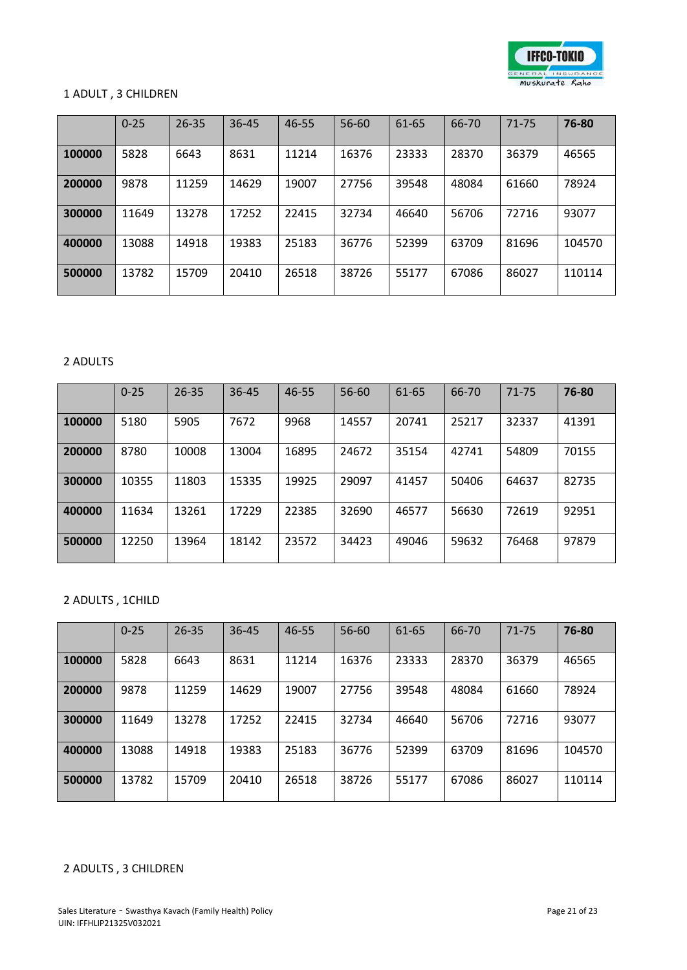

#### 1 ADULT , 3 CHILDREN

|        | $0 - 25$ | $26 - 35$ | $36 - 45$ | 46-55 | 56-60 | 61-65 | 66-70 | $71 - 75$ | 76-80  |
|--------|----------|-----------|-----------|-------|-------|-------|-------|-----------|--------|
| 100000 | 5828     | 6643      | 8631      | 11214 | 16376 | 23333 | 28370 | 36379     | 46565  |
| 200000 | 9878     | 11259     | 14629     | 19007 | 27756 | 39548 | 48084 | 61660     | 78924  |
| 300000 | 11649    | 13278     | 17252     | 22415 | 32734 | 46640 | 56706 | 72716     | 93077  |
| 400000 | 13088    | 14918     | 19383     | 25183 | 36776 | 52399 | 63709 | 81696     | 104570 |
| 500000 | 13782    | 15709     | 20410     | 26518 | 38726 | 55177 | 67086 | 86027     | 110114 |

## 2 ADULTS

|        | $0 - 25$ | $26 - 35$ | $36 - 45$ | 46-55 | 56-60 | 61-65 | 66-70 | 71-75 | 76-80 |
|--------|----------|-----------|-----------|-------|-------|-------|-------|-------|-------|
| 100000 | 5180     | 5905      | 7672      | 9968  | 14557 | 20741 | 25217 | 32337 | 41391 |
| 200000 | 8780     | 10008     | 13004     | 16895 | 24672 | 35154 | 42741 | 54809 | 70155 |
| 300000 | 10355    | 11803     | 15335     | 19925 | 29097 | 41457 | 50406 | 64637 | 82735 |
| 400000 | 11634    | 13261     | 17229     | 22385 | 32690 | 46577 | 56630 | 72619 | 92951 |
| 500000 | 12250    | 13964     | 18142     | 23572 | 34423 | 49046 | 59632 | 76468 | 97879 |

## 2 ADULTS , 1CHILD

|        | $0 - 25$ | $26 - 35$ | 36-45 | 46-55 | 56-60 | 61-65 | 66-70 | $71 - 75$ | 76-80  |
|--------|----------|-----------|-------|-------|-------|-------|-------|-----------|--------|
| 100000 | 5828     | 6643      | 8631  | 11214 | 16376 | 23333 | 28370 | 36379     | 46565  |
| 200000 | 9878     | 11259     | 14629 | 19007 | 27756 | 39548 | 48084 | 61660     | 78924  |
| 300000 | 11649    | 13278     | 17252 | 22415 | 32734 | 46640 | 56706 | 72716     | 93077  |
| 400000 | 13088    | 14918     | 19383 | 25183 | 36776 | 52399 | 63709 | 81696     | 104570 |
| 500000 | 13782    | 15709     | 20410 | 26518 | 38726 | 55177 | 67086 | 86027     | 110114 |

## 2 ADULTS , 3 CHILDREN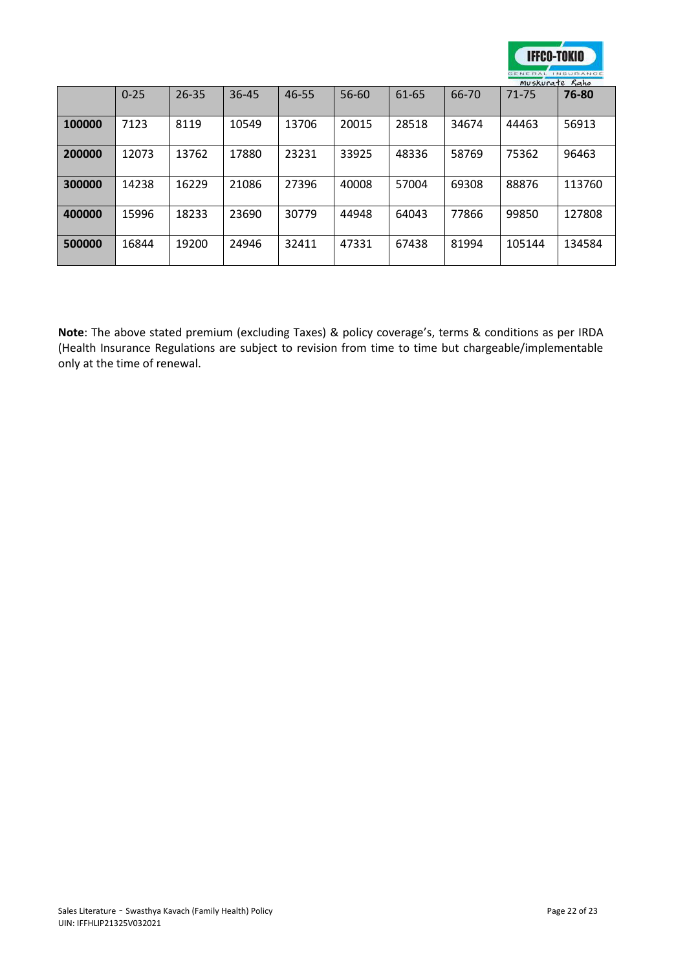

|        |          |           |           |       |       |       |       | Muskurate Kaho |        |
|--------|----------|-----------|-----------|-------|-------|-------|-------|----------------|--------|
|        | $0 - 25$ | $26 - 35$ | $36 - 45$ | 46-55 | 56-60 | 61-65 | 66-70 | 71-75          | 76-80  |
| 100000 | 7123     | 8119      | 10549     | 13706 | 20015 | 28518 | 34674 | 44463          | 56913  |
| 200000 | 12073    | 13762     | 17880     | 23231 | 33925 | 48336 | 58769 | 75362          | 96463  |
| 300000 | 14238    | 16229     | 21086     | 27396 | 40008 | 57004 | 69308 | 88876          | 113760 |
| 400000 | 15996    | 18233     | 23690     | 30779 | 44948 | 64043 | 77866 | 99850          | 127808 |
| 500000 | 16844    | 19200     | 24946     | 32411 | 47331 | 67438 | 81994 | 105144         | 134584 |

**Note**: The above stated premium (excluding Taxes) & policy coverage's, terms & conditions as per IRDA (Health Insurance Regulations are subject to revision from time to time but chargeable/implementable only at the time of renewal.